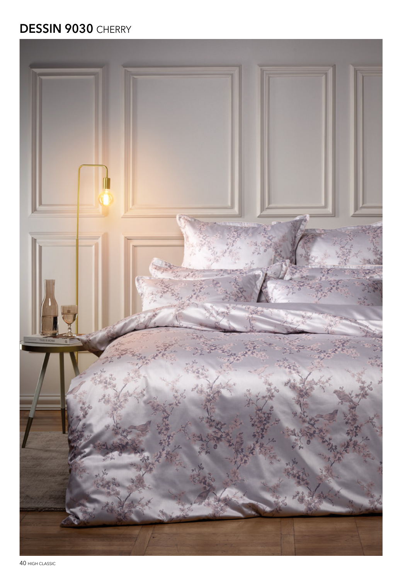## **DESSIN 9030 CHERRY**



40 HIGH CLASSIC